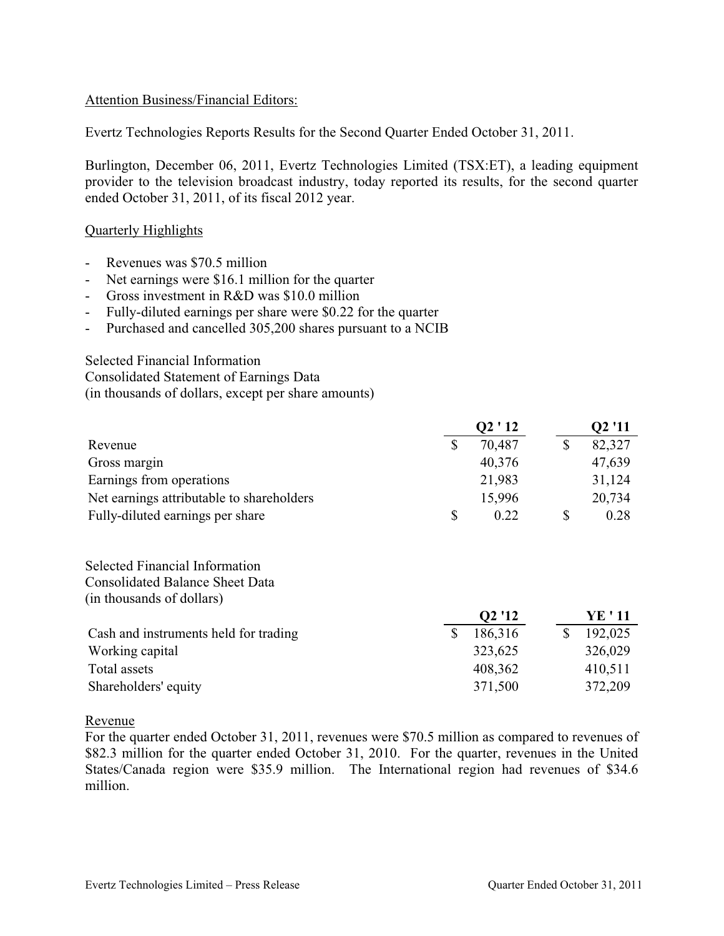## Attention Business/Financial Editors:

Evertz Technologies Reports Results for the Second Quarter Ended October 31, 2011.

Burlington, December 06, 2011, Evertz Technologies Limited (TSX:ET), a leading equipment provider to the television broadcast industry, today reported its results, for the second quarter ended October 31, 2011, of its fiscal 2012 year.

### Quarterly Highlights

- Revenues was \$70.5 million
- Net earnings were \$16.1 million for the quarter
- Gross investment in R&D was \$10.0 million
- Fully-diluted earnings per share were \$0.22 for the quarter
- Purchased and cancelled 305,200 shares pursuant to a NCIB

Selected Financial Information

Consolidated Statement of Earnings Data

(in thousands of dollars, except per share amounts)

|                                           |             | Q2 '11  |              |         |
|-------------------------------------------|-------------|---------|--------------|---------|
| Revenue                                   | \$          | 70,487  | $\mathbb{S}$ | 82,327  |
| Gross margin                              |             | 40,376  |              | 47,639  |
| Earnings from operations                  |             | 21,983  |              | 31,124  |
| Net earnings attributable to shareholders |             | 15,996  |              | 20,734  |
| Fully-diluted earnings per share          | \$          | 0.22    | \$           | 0.28    |
| <b>Selected Financial Information</b>     |             |         |              |         |
| <b>Consolidated Balance Sheet Data</b>    |             |         |              |         |
| (in thousands of dollars)                 |             |         |              |         |
|                                           |             | Q2 '12  |              | YE ' 11 |
| Cash and instruments held for trading     | $\mathbf S$ | 186,316 | $\mathbb{S}$ | 192,025 |
| Working capital                           |             | 323,625 |              | 326,029 |
| Total assets                              |             | 408,362 |              | 410,511 |
| Shareholders' equity                      |             | 371,500 |              | 372,209 |

#### Revenue

For the quarter ended October 31, 2011, revenues were \$70.5 million as compared to revenues of \$82.3 million for the quarter ended October 31, 2010. For the quarter, revenues in the United States/Canada region were \$35.9 million. The International region had revenues of \$34.6 million.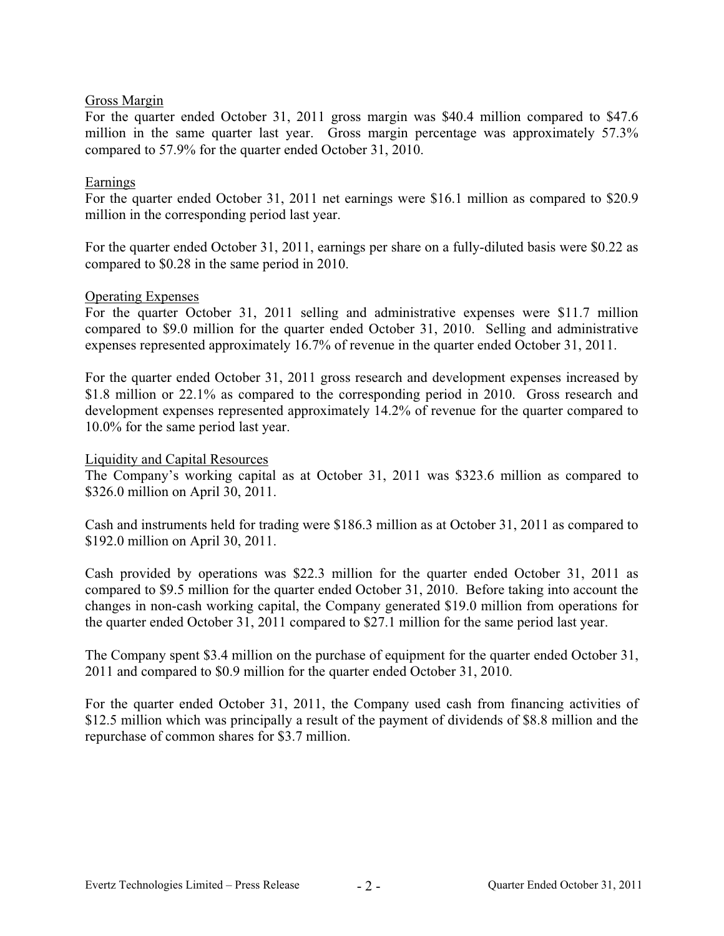# Gross Margin

For the quarter ended October 31, 2011 gross margin was \$40.4 million compared to \$47.6 million in the same quarter last year. Gross margin percentage was approximately 57.3% compared to 57.9% for the quarter ended October 31, 2010.

# Earnings

For the quarter ended October 31, 2011 net earnings were \$16.1 million as compared to \$20.9 million in the corresponding period last year.

For the quarter ended October 31, 2011, earnings per share on a fully-diluted basis were \$0.22 as compared to \$0.28 in the same period in 2010.

## Operating Expenses

For the quarter October 31, 2011 selling and administrative expenses were \$11.7 million compared to \$9.0 million for the quarter ended October 31, 2010. Selling and administrative expenses represented approximately 16.7% of revenue in the quarter ended October 31, 2011.

For the quarter ended October 31, 2011 gross research and development expenses increased by \$1.8 million or 22.1% as compared to the corresponding period in 2010. Gross research and development expenses represented approximately 14.2% of revenue for the quarter compared to 10.0% for the same period last year.

#### Liquidity and Capital Resources

The Company's working capital as at October 31, 2011 was \$323.6 million as compared to \$326.0 million on April 30, 2011.

Cash and instruments held for trading were \$186.3 million as at October 31, 2011 as compared to \$192.0 million on April 30, 2011.

Cash provided by operations was \$22.3 million for the quarter ended October 31, 2011 as compared to \$9.5 million for the quarter ended October 31, 2010. Before taking into account the changes in non-cash working capital, the Company generated \$19.0 million from operations for the quarter ended October 31, 2011 compared to \$27.1 million for the same period last year.

The Company spent \$3.4 million on the purchase of equipment for the quarter ended October 31, 2011 and compared to \$0.9 million for the quarter ended October 31, 2010.

For the quarter ended October 31, 2011, the Company used cash from financing activities of \$12.5 million which was principally a result of the payment of dividends of \$8.8 million and the repurchase of common shares for \$3.7 million.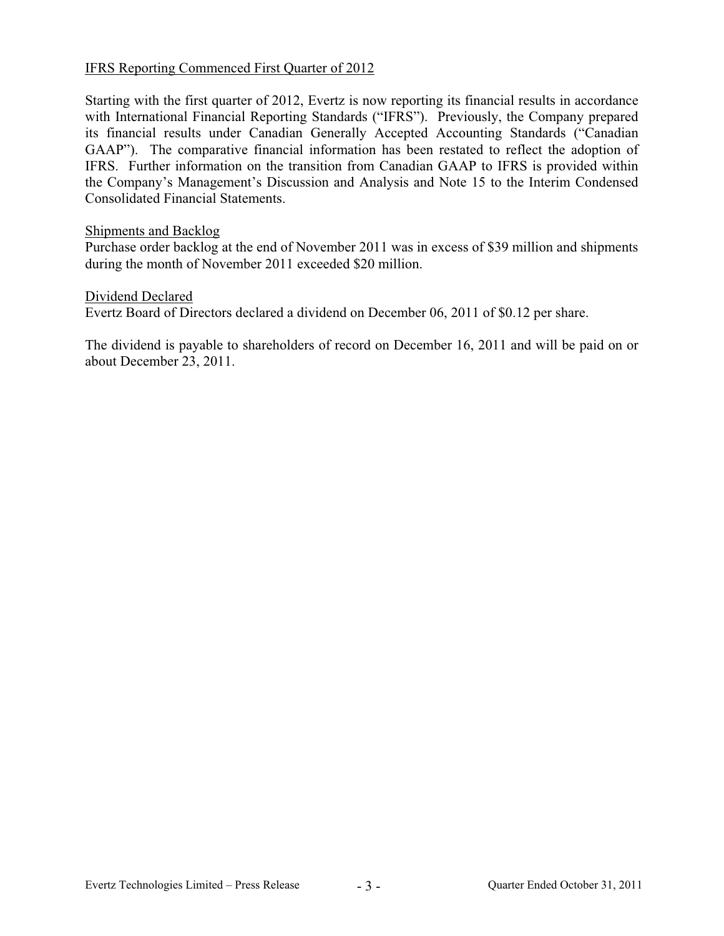# IFRS Reporting Commenced First Quarter of 2012

Starting with the first quarter of 2012, Evertz is now reporting its financial results in accordance with International Financial Reporting Standards ("IFRS"). Previously, the Company prepared its financial results under Canadian Generally Accepted Accounting Standards ("Canadian GAAP"). The comparative financial information has been restated to reflect the adoption of IFRS. Further information on the transition from Canadian GAAP to IFRS is provided within the Company's Management's Discussion and Analysis and Note 15 to the Interim Condensed Consolidated Financial Statements.

## Shipments and Backlog

Purchase order backlog at the end of November 2011 was in excess of \$39 million and shipments during the month of November 2011 exceeded \$20 million.

## Dividend Declared

Evertz Board of Directors declared a dividend on December 06, 2011 of \$0.12 per share.

The dividend is payable to shareholders of record on December 16, 2011 and will be paid on or about December 23, 2011.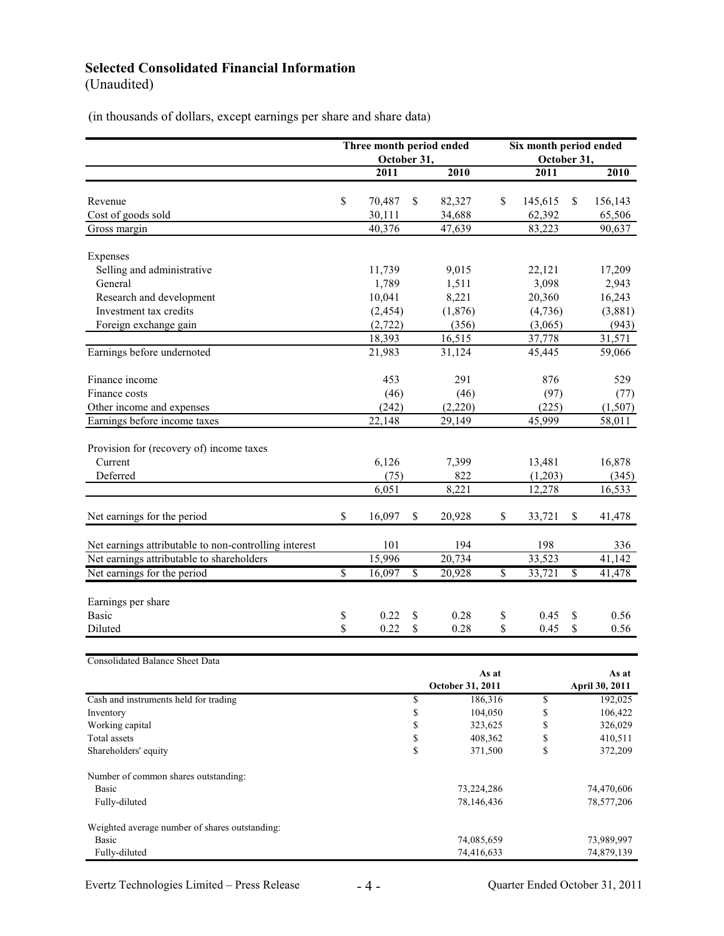# **Selected Consolidated Financial Information**

(Unaudited)

(in thousands of dollars, except earnings per share and share data)

|                                                       |                          | Three month period ended |                          |                  | Six month period ended   |         |                          |                |
|-------------------------------------------------------|--------------------------|--------------------------|--------------------------|------------------|--------------------------|---------|--------------------------|----------------|
|                                                       |                          | October 31,              |                          |                  | October 31,              |         |                          |                |
|                                                       |                          | 2011                     |                          | 2010             |                          | 2011    |                          | 2010           |
|                                                       |                          |                          |                          |                  |                          |         |                          |                |
| Revenue                                               | $\mathbb{S}$             | 70,487                   | \$                       | 82,327           | \$                       | 145,615 | \$                       | 156,143        |
| Cost of goods sold                                    |                          | 30,111                   |                          | 34,688           |                          | 62,392  |                          | 65,506         |
| Gross margin                                          |                          | 40,376                   |                          | 47,639           |                          | 83,223  |                          | 90,637         |
|                                                       |                          |                          |                          |                  |                          |         |                          |                |
| Expenses                                              |                          |                          |                          |                  |                          |         |                          |                |
| Selling and administrative                            |                          | 11,739                   |                          | 9,015            |                          | 22,121  |                          | 17,209         |
| General                                               |                          | 1,789                    |                          | 1,511            |                          | 3,098   |                          | 2,943          |
| Research and development                              |                          | 10,041                   |                          | 8,221            |                          | 20,360  |                          | 16,243         |
| Investment tax credits                                |                          | (2, 454)                 |                          | (1,876)          |                          | (4,736) |                          | (3,881)        |
| Foreign exchange gain                                 |                          | (2, 722)                 |                          | (356)            |                          | (3,065) |                          | (943)          |
|                                                       |                          | 18,393                   |                          | 16,515           |                          | 37,778  |                          | 31,571         |
| Earnings before undernoted                            |                          | 21,983                   |                          | 31,124           |                          | 45,445  |                          | 59,066         |
| Finance income                                        |                          | 453                      |                          | 291              |                          | 876     |                          | 529            |
| Finance costs                                         |                          | (46)                     |                          | (46)             |                          | (97)    |                          | (77)           |
| Other income and expenses                             |                          | (242)                    |                          | (2,220)          |                          | (225)   |                          | (1,507)        |
| Earnings before income taxes                          |                          | 22,148                   |                          | 29,149           |                          | 45,999  |                          | 58,011         |
|                                                       |                          |                          |                          |                  |                          |         |                          |                |
| Provision for (recovery of) income taxes              |                          |                          |                          |                  |                          |         |                          |                |
| Current                                               |                          | 6,126                    |                          | 7,399            |                          | 13,481  |                          | 16,878         |
| Deferred                                              |                          | (75)                     |                          | 822              |                          | (1,203) |                          | (345)          |
|                                                       |                          | 6,051                    |                          | 8,221            |                          | 12,278  |                          | 16,533         |
|                                                       |                          |                          |                          |                  |                          |         |                          |                |
| Net earnings for the period                           | $\mathbb{S}$             | 16,097                   | \$                       | 20,928           | \$                       | 33,721  | \$                       | 41,478         |
|                                                       |                          |                          |                          |                  |                          |         |                          |                |
| Net earnings attributable to non-controlling interest |                          | 101                      |                          | 194              |                          | 198     |                          | 336            |
| Net earnings attributable to shareholders             |                          | 15,996                   |                          | 20,734           |                          | 33,523  |                          | 41,142         |
| Net earnings for the period                           | $\overline{\mathcal{S}}$ | 16,097                   | $\overline{\mathcal{S}}$ | 20,928           | $\overline{\mathcal{S}}$ | 33,721  | $\overline{\mathcal{S}}$ | 41,478         |
|                                                       |                          |                          |                          |                  |                          |         |                          |                |
| Earnings per share                                    |                          |                          |                          |                  |                          |         |                          |                |
| <b>Basic</b>                                          | \$                       | 0.22                     | \$                       | 0.28             | \$                       | 0.45    | \$                       | 0.56           |
| Diluted                                               | \$                       | 0.22                     | \$                       | 0.28             | \$                       | 0.45    | \$                       | 0.56           |
|                                                       |                          |                          |                          |                  |                          |         |                          |                |
| <b>Consolidated Balance Sheet Data</b>                |                          |                          |                          |                  |                          |         |                          |                |
|                                                       |                          |                          |                          | As at            |                          |         | As at                    |                |
|                                                       |                          |                          |                          | October 31, 2011 |                          |         |                          | April 30, 2011 |
| Cash and instruments held for trading                 |                          |                          | $\mathbb{S}$             | 186,316          |                          | \$      |                          | 192,025        |
| Inventory                                             |                          |                          | $\mathbb S$              | 104,050          |                          | \$      |                          | 106,422        |
| Working capital                                       |                          |                          | \$                       | 323,625          |                          | \$      |                          | 326,029        |
| Total assets                                          |                          |                          | $\mathbb{S}$<br>\$       | 408,362          |                          | \$      |                          | 410,511        |
| Shareholders' equity                                  |                          |                          |                          | 371,500          |                          | \$      |                          | 372,209        |
| Number of common shares outstanding:                  |                          |                          |                          |                  |                          |         |                          |                |
| <b>Basic</b>                                          |                          |                          |                          | 73,224,286       |                          |         |                          | 74,470,606     |
| Fully-diluted                                         |                          |                          |                          | 78,146,436       |                          |         |                          | 78,577,206     |
| Weighted average number of shares outstanding:        |                          |                          |                          |                  |                          |         |                          |                |
| <b>Basic</b>                                          |                          |                          |                          | 74,085,659       |                          |         |                          | 73,989,997     |
| Fully-diluted                                         |                          |                          |                          | 74,416,633       |                          |         |                          | 74,879,139     |
|                                                       |                          |                          |                          |                  |                          |         |                          |                |